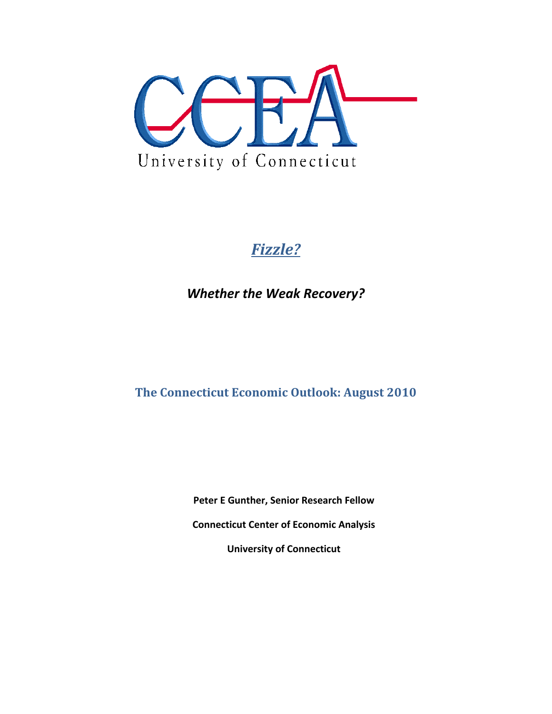

# *Fizzle?*

*Whether the Weak Recovery?*

**The Connecticut Economic Outlook: August 2010**

**Peter E Gunther, Senior Research Fellow**

**Connecticut Center of Economic Analysis**

**University of Connecticut**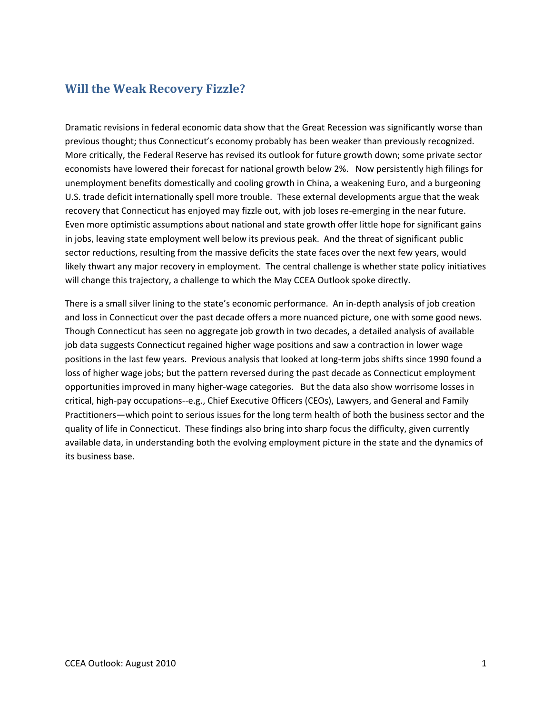## **Will the Weak Recovery Fizzle?**

Dramatic revisions in federal economic data show that the Great Recession was significantly worse than previous thought; thus Connecticut's economy probably has been weaker than previously recognized. More critically, the Federal Reserve has revised its outlook for future growth down; some private sector economists have lowered their forecast for national growth below 2%. Now persistently high filings for unemployment benefits domestically and cooling growth in China, a weakening Euro, and a burgeoning U.S. trade deficit internationally spell more trouble. These external developments argue that the weak recovery that Connecticut has enjoyed may fizzle out, with job loses re-emerging in the near future. Even more optimistic assumptions about national and state growth offer little hope for significant gains in jobs, leaving state employment well below its previous peak. And the threat of significant public sector reductions, resulting from the massive deficits the state faces over the next few years, would likely thwart any major recovery in employment. The central challenge is whether state policy initiatives will change this trajectory, a challenge to which the May CCEA Outlook spoke directly.

There is a small silver lining to the state's economic performance. An in‐depth analysis of job creation and loss in Connecticut over the past decade offers a more nuanced picture, one with some good news. Though Connecticut has seen no aggregate job growth in two decades, a detailed analysis of available job data suggests Connecticut regained higher wage positions and saw a contraction in lower wage positions in the last few years. Previous analysis that looked at long‐term jobs shifts since 1990 found a loss of higher wage jobs; but the pattern reversed during the past decade as Connecticut employment opportunities improved in many higher-wage categories. But the data also show worrisome losses in critical, high‐pay occupations‐‐e.g., Chief Executive Officers (CEOs), Lawyers, and General and Family Practitioners—which point to serious issues for the long term health of both the business sector and the quality of life in Connecticut. These findings also bring into sharp focus the difficulty, given currently available data, in understanding both the evolving employment picture in the state and the dynamics of its business base.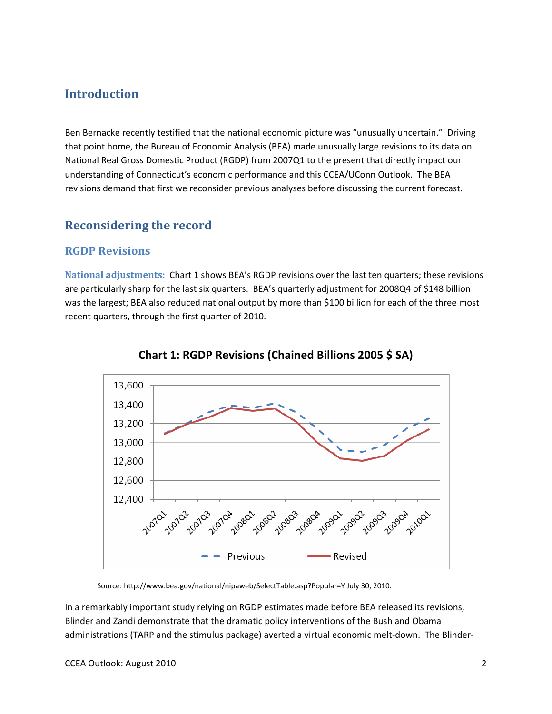### **Introduction**

Ben Bernacke recently testified that the national economic picture was "unusually uncertain." Driving that point home, the Bureau of Economic Analysis (BEA) made unusually large revisions to its data on National Real Gross Domestic Product (RGDP) from 2007Q1 to the present that directly impact our understanding of Connecticut's economic performance and this CCEA/UConn Outlook. The BEA revisions demand that first we reconsider previous analyses before discussing the current forecast.

## **Reconsidering the record**

#### **RGDP Revisions**

**National adjustments:** Chart 1 shows BEA's RGDP revisions over the last ten quarters; these revisions are particularly sharp for the last six quarters. BEA's quarterly adjustment for 2008Q4 of \$148 billion was the largest; BEA also reduced national output by more than \$100 billion for each of the three most recent quarters, through the first quarter of 2010.





Source: http://www.bea.gov/national/nipaweb/SelectTable.asp?Popular=Y July 30, 2010.

In a remarkably important study relying on RGDP estimates made before BEA released its revisions, Blinder and Zandi demonstrate that the dramatic policy interventions of the Bush and Obama administrations (TARP and the stimulus package) averted a virtual economic melt-down. The Blinder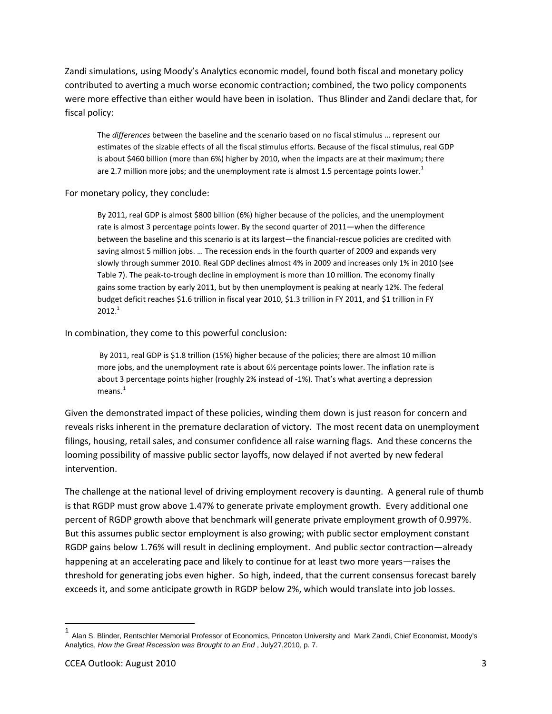Zandi simulations, using Moody's Analytics economic model, found both fiscal and monetary policy contributed to averting a much worse economic contraction; combined, the two policy components were more effective than either would have been in isolation. Thus Blinder and Zandi declare that, for fiscal policy:

The *differences* between the baseline and the scenario based on no fiscal stimulus … represent our estimates of the sizable effects of all the fiscal stimulus efforts. Because of the fiscal stimulus, real GDP is about \$460 billion (more than 6%) higher by 2010, when the impacts are at their maximum; there are 2.7 million more jobs; and the unemployment rate is almost 1.5 percentage points lower.<sup>1</sup>

For monetary policy, they conclude:

By 2011, real GDP is almost \$800 billion (6%) higher because of the policies, and the unemployment rate is almost 3 percentage points lower. By the second quarter of 2011—when the difference between the baseline and this scenario is at its largest—the financial-rescue policies are credited with saving almost 5 million jobs. … The recession ends in the fourth quarter of 2009 and expands very slowly through summer 2010. Real GDP declines almost 4% in 2009 and increases only 1% in 2010 (see Table 7). The peak-to-trough decline in employment is more than 10 million. The economy finally gains some traction by early 2011, but by then unemployment is peaking at nearly 12%. The federal budget deficit reaches \$1.6 trillion in fiscal year 2010, \$1.3 trillion in FY 2011, and \$1 trillion in FY  $2012.<sup>1</sup>$ 

In combination, they come to this powerful conclusion:

By 2011, real GDP is \$1.8 trillion (15%) higher because of the policies; there are almost 10 million more jobs, and the unemployment rate is about 6½ percentage points lower. The inflation rate is about 3 percentage points higher (roughly 2% instead of ‐1%). That's what averting a depression  $means.<sup>1</sup>$  $means.<sup>1</sup>$  $means.<sup>1</sup>$ 

Given the demonstrated impact of these policies, winding them down is just reason for concern and reveals risks inherent in the premature declaration of victory. The most recent data on unemployment filings, housing, retail sales, and consumer confidence all raise warning flags. And these concerns the looming possibility of massive public sector layoffs, now delayed if not averted by new federal intervention.

The challenge at the national level of driving employment recovery is daunting. A general rule of thumb is that RGDP must grow above 1.47% to generate private employment growth. Every additional one percent of RGDP growth above that benchmark will generate private employment growth of 0.997%. But this assumes public sector employment is also growing; with public sector employment constant RGDP gains below 1.76% will result in declining employment. And public sector contraction—already happening at an accelerating pace and likely to continue for at least two more years—raises the threshold for generating jobs even higher. So high, indeed, that the current consensus forecast barely exceeds it, and some anticipate growth in RGDP below 2%, which would translate into job losses.

<span id="page-3-0"></span><sup>&</sup>lt;sup>1</sup> Alan S. Blinder, Rentschler Memorial Professor of Economics, Princeton University and Mark Zandi, Chief Economist, Moody's Analytics, *How the Great Recession was Brought to an End* , July27,2010, p. 7.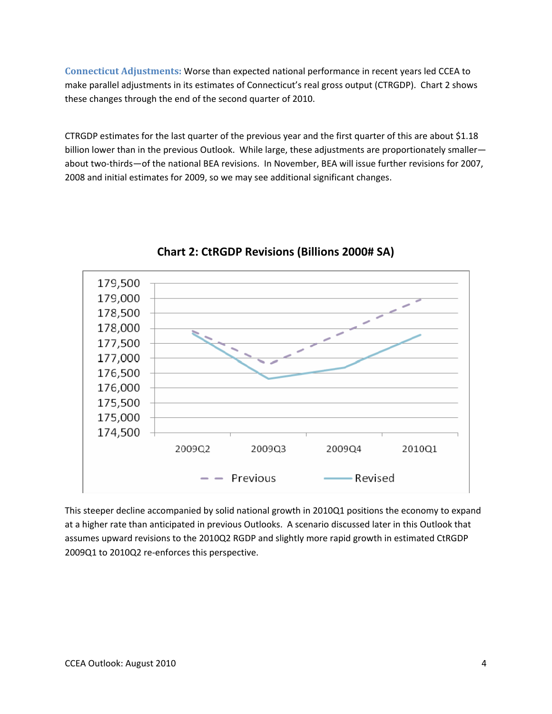**Connecticut Adjustments:** Worse than expected national performance in recent years led CCEA to make parallel adjustments in its estimates of Connecticut's real gross output (CTRGDP). Chart 2 shows these changes through the end of the second quarter of 2010.

CTRGDP estimates for the last quarter of the previous year and the first quarter of this are about \$1.18 billion lower than in the previous Outlook. While large, these adjustments are proportionately smaller about two‐thirds—of the national BEA revisions. In November, BEA will issue further revisions for 2007, 2008 and initial estimates for 2009, so we may see additional significant changes.



## **Chart 2: CtRGDP Revisions (Billions 2000# SA)**

This steeper decline accompanied by solid national growth in 2010Q1 positions the economy to expand at a higher rate than anticipated in previous Outlooks. A scenario discussed later in this Outlook that assumes upward revisions to the 2010Q2 RGDP and slightly more rapid growth in estimated CtRGDP 2009Q1 to 2010Q2 re-enforces this perspective.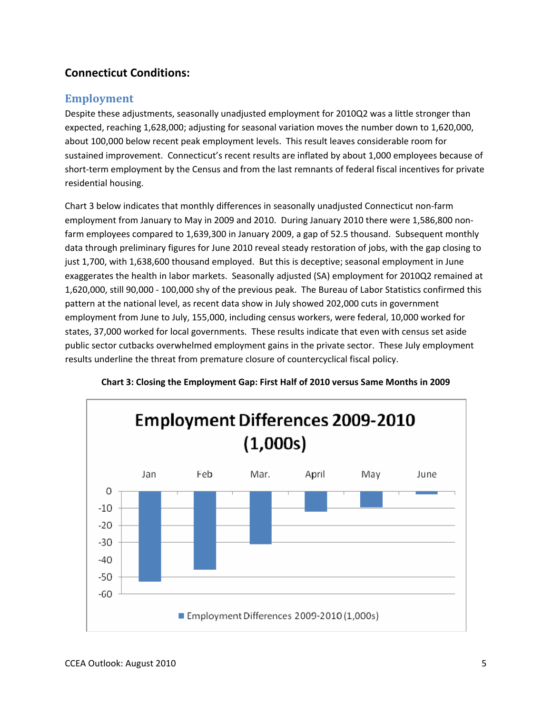## **Connecticut Conditions:**

#### **Employment**

Despite these adjustments, seasonally unadjusted employment for 2010Q2 was a little stronger than expected, reaching 1,628,000; adjusting for seasonal variation moves the number down to 1,620,000, about 100,000 below recent peak employment levels. This result leaves considerable room for sustained improvement. Connecticut's recent results are inflated by about 1,000 employees because of short-term employment by the Census and from the last remnants of federal fiscal incentives for private residential housing.

Chart 3 below indicates that monthly differences in seasonally unadjusted Connecticut non‐farm employment from January to May in 2009 and 2010. During January 2010 there were 1,586,800 nonfarm employees compared to 1,639,300 in January 2009, a gap of 52.5 thousand. Subsequent monthly data through preliminary figures for June 2010 reveal steady restoration of jobs, with the gap closing to just 1,700, with 1,638,600 thousand employed. But this is deceptive; seasonal employment in June exaggerates the health in labor markets. Seasonally adjusted (SA) employment for 2010Q2 remained at 1,620,000, still 90,000 ‐ 100,000 shy of the previous peak. The Bureau of Labor Statistics confirmed this pattern at the national level, as recent data show in July showed 202,000 cuts in government employment from June to July, 155,000, including census workers, were federal, 10,000 worked for states, 37,000 worked for local governments. These results indicate that even with census set aside public sector cutbacks overwhelmed employment gains in the private sector. These July employment results underline the threat from premature closure of countercyclical fiscal policy.



#### **Chart 3: Closing the Employment Gap: First Half of 2010 versus Same Months in 2009**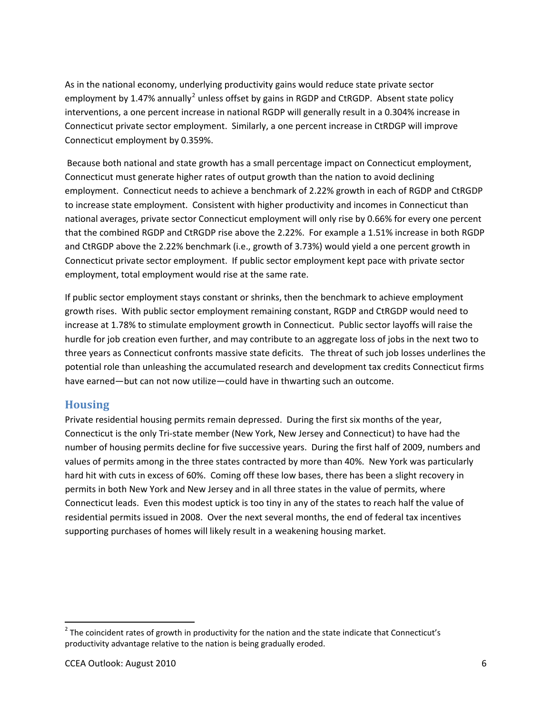As in the national economy, underlying productivity gains would reduce state private sector employment by 1.47% annually<sup>[2](#page-6-0)</sup> unless offset by gains in RGDP and CtRGDP. Absent state policy interventions, a one percent increase in national RGDP will generally result in a 0.304% increase in Connecticut private sector employment. Similarly, a one percent increase in CtRDGP will improve Connecticut employment by 0.359%.

Because both national and state growth has a small percentage impact on Connecticut employment, Connecticut must generate higher rates of output growth than the nation to avoid declining employment. Connecticut needs to achieve a benchmark of 2.22% growth in each of RGDP and CtRGDP to increase state employment. Consistent with higher productivity and incomes in Connecticut than national averages, private sector Connecticut employment will only rise by 0.66% for every one percent that the combined RGDP and CtRGDP rise above the 2.22%. For example a 1.51% increase in both RGDP and CtRGDP above the 2.22% benchmark (i.e., growth of 3.73%) would yield a one percent growth in Connecticut private sector employment. If public sector employment kept pace with private sector employment, total employment would rise at the same rate.

If public sector employment stays constant or shrinks, then the benchmark to achieve employment growth rises. With public sector employment remaining constant, RGDP and CtRGDP would need to increase at 1.78% to stimulate employment growth in Connecticut. Public sector layoffs will raise the hurdle for job creation even further, and may contribute to an aggregate loss of jobs in the next two to three years as Connecticut confronts massive state deficits. The threat of such job losses underlines the potential role than unleashing the accumulated research and development tax credits Connecticut firms have earned—but can not now utilize—could have in thwarting such an outcome.

#### **Housing**

Private residential housing permits remain depressed. During the first six months of the year, Connecticut is the only Tri‐state member (New York, New Jersey and Connecticut) to have had the number of housing permits decline for five successive years. During the first half of 2009, numbers and values of permits among in the three states contracted by more than 40%. New York was particularly hard hit with cuts in excess of 60%. Coming off these low bases, there has been a slight recovery in permits in both New York and New Jersey and in all three states in the value of permits, where Connecticut leads. Even this modest uptick is too tiny in any of the states to reach half the value of residential permits issued in 2008. Over the next several months, the end of federal tax incentives supporting purchases of homes will likely result in a weakening housing market.

<span id="page-6-0"></span><sup>&</sup>lt;sup>2</sup> The coincident rates of growth in productivity for the nation and the state indicate that Connecticut's productivity advantage relative to the nation is being gradually eroded.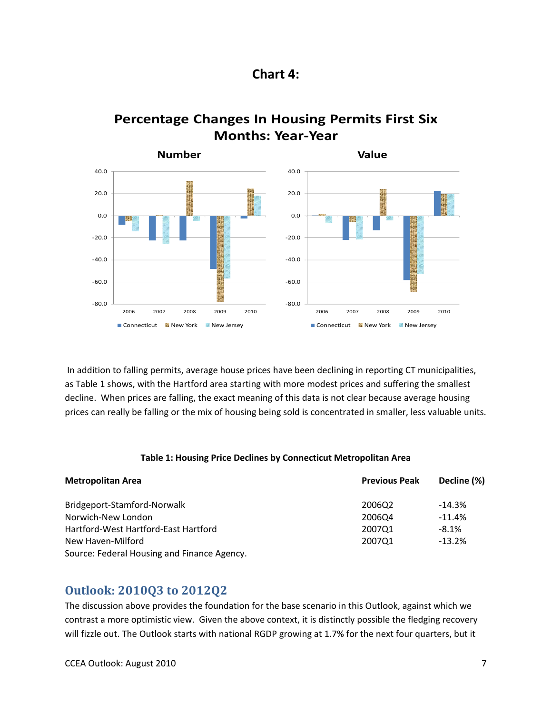![](_page_7_Figure_0.jpeg)

![](_page_7_Figure_1.jpeg)

![](_page_7_Figure_2.jpeg)

In addition to falling permits, average house prices have been declining in reporting CT municipalities, as Table 1 shows, with the Hartford area starting with more modest prices and suffering the smallest decline. When prices are falling, the exact meaning of this data is not clear because average housing prices can really be falling or the mix of housing being sold is concentrated in smaller, less valuable units.

#### **Table 1: Housing Price Declines by Connecticut Metropolitan Area**

| <b>Metropolitan Area</b>                    | <b>Previous Peak</b> | Decline (%) |  |
|---------------------------------------------|----------------------|-------------|--|
| Bridgeport-Stamford-Norwalk                 | 2006Q2               | $-14.3%$    |  |
| Norwich-New London                          | 2006Q4               | $-11.4%$    |  |
| Hartford-West Hartford-East Hartford        | 2007Q1               | $-8.1%$     |  |
| New Haven-Milford                           | 200701               | $-13.2%$    |  |
| Source: Federal Housing and Finance Agency. |                      |             |  |

#### **Outlook: 2010Q3 to 2012Q2**

The discussion above provides the foundation for the base scenario in this Outlook, against which we contrast a more optimistic view. Given the above context, it is distinctly possible the fledging recovery will fizzle out. The Outlook starts with national RGDP growing at 1.7% for the next four quarters, but it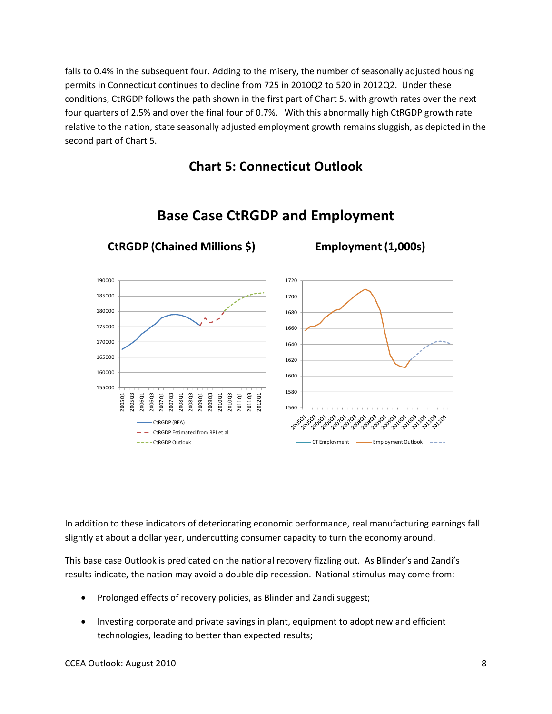falls to 0.4% in the subsequent four. Adding to the misery, the number of seasonally adjusted housing permits in Connecticut continues to decline from 725 in 2010Q2 to 520 in 2012Q2. Under these conditions, CtRGDP follows the path shown in the first part of Chart 5, with growth rates over the next four quarters of 2.5% and over the final four of 0.7%. With this abnormally high CtRGDP growth rate relative to the nation, state seasonally adjusted employment growth remains sluggish, as depicted in the second part of Chart 5.

## **Chart 5: Connecticut Outlook**

![](_page_8_Figure_2.jpeg)

## **Base Case CtRGDP and Employment**

In addition to these indicators of deteriorating economic performance, real manufacturing earnings fall slightly at about a dollar year, undercutting consumer capacity to turn the economy around.

This base case Outlook is predicated on the national recovery fizzling out. As Blinder's and Zandi's results indicate, the nation may avoid a double dip recession. National stimulus may come from:

- Prolonged effects of recovery policies, as Blinder and Zandi suggest;
- Investing corporate and private savings in plant, equipment to adopt new and efficient technologies, leading to better than expected results;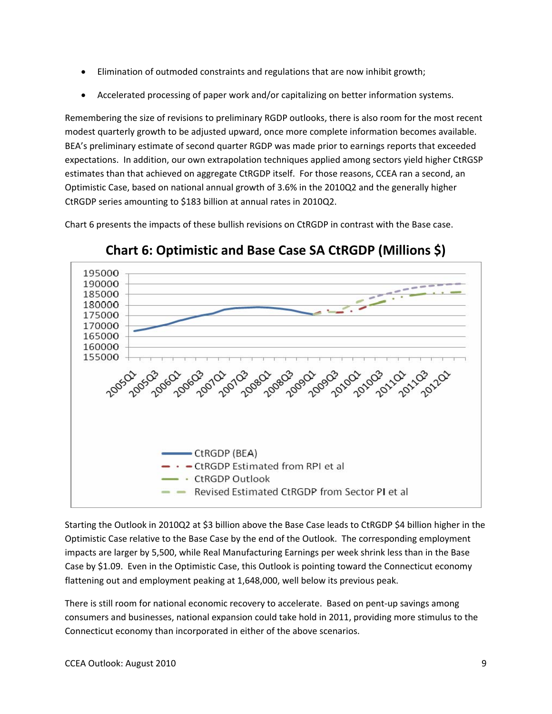- Elimination of outmoded constraints and regulations that are now inhibit growth;
- Accelerated processing of paper work and/or capitalizing on better information systems.

Remembering the size of revisions to preliminary RGDP outlooks, there is also room for the most recent modest quarterly growth to be adjusted upward, once more complete information becomes available. BEA's preliminary estimate of second quarter RGDP was made prior to earnings reports that exceeded expectations. In addition, our own extrapolation techniques applied among sectors yield higher CtRGSP estimates than that achieved on aggregate CtRGDP itself. For those reasons, CCEA ran a second, an Optimistic Case, based on national annual growth of 3.6% in the 2010Q2 and the generally higher CtRGDP series amounting to \$183 billion at annual rates in 2010Q2.

Chart 6 presents the impacts of these bullish revisions on CtRGDP in contrast with the Base case.

![](_page_9_Figure_4.jpeg)

**Chart 6: Optimistic and Base Case SA CtRGDP (Millions \$)**

Starting the Outlook in 2010Q2 at \$3 billion above the Base Case leads to CtRGDP \$4 billion higher in the Optimistic Case relative to the Base Case by the end of the Outlook. The corresponding employment impacts are larger by 5,500, while Real Manufacturing Earnings per week shrink less than in the Base Case by \$1.09. Even in the Optimistic Case, this Outlook is pointing toward the Connecticut economy flattening out and employment peaking at 1,648,000, well below its previous peak.

There is still room for national economic recovery to accelerate. Based on pent‐up savings among consumers and businesses, national expansion could take hold in 2011, providing more stimulus to the Connecticut economy than incorporated in either of the above scenarios.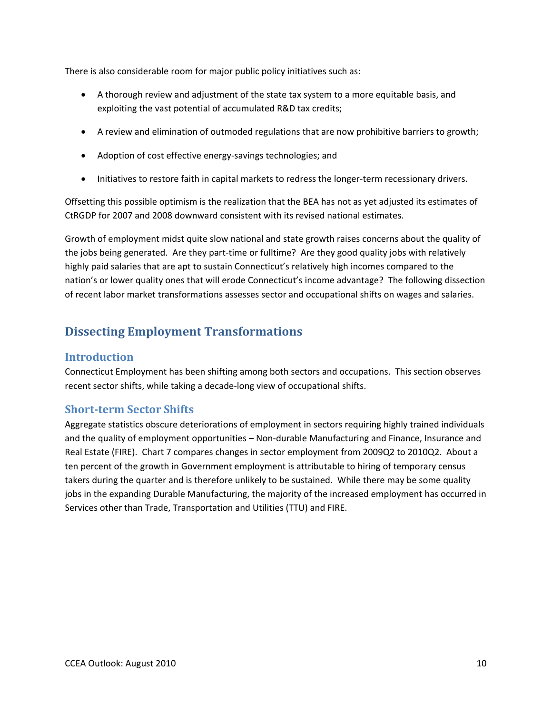There is also considerable room for major public policy initiatives such as:

- A thorough review and adjustment of the state tax system to a more equitable basis, and exploiting the vast potential of accumulated R&D tax credits;
- A review and elimination of outmoded regulations that are now prohibitive barriers to growth;
- Adoption of cost effective energy‐savings technologies; and
- Initiatives to restore faith in capital markets to redress the longer-term recessionary drivers.

Offsetting this possible optimism is the realization that the BEA has not as yet adjusted its estimates of CtRGDP for 2007 and 2008 downward consistent with its revised national estimates.

Growth of employment midst quite slow national and state growth raises concerns about the quality of the jobs being generated. Are they part-time or fulltime? Are they good quality jobs with relatively highly paid salaries that are apt to sustain Connecticut's relatively high incomes compared to the nation's or lower quality ones that will erode Connecticut's income advantage? The following dissection of recent labor market transformations assesses sector and occupational shifts on wages and salaries.

## **Dissecting Employment Transformations**

#### **Introduction**

Connecticut Employment has been shifting among both sectors and occupations. This section observes recent sector shifts, while taking a decade‐long view of occupational shifts.

#### **Shortterm Sector Shifts**

Aggregate statistics obscure deteriorations of employment in sectors requiring highly trained individuals and the quality of employment opportunities – Non-durable Manufacturing and Finance, Insurance and Real Estate (FIRE). Chart 7 compares changes in sector employment from 2009Q2 to 2010Q2. About a ten percent of the growth in Government employment is attributable to hiring of temporary census takers during the quarter and is therefore unlikely to be sustained. While there may be some quality jobs in the expanding Durable Manufacturing, the majority of the increased employment has occurred in Services other than Trade, Transportation and Utilities (TTU) and FIRE.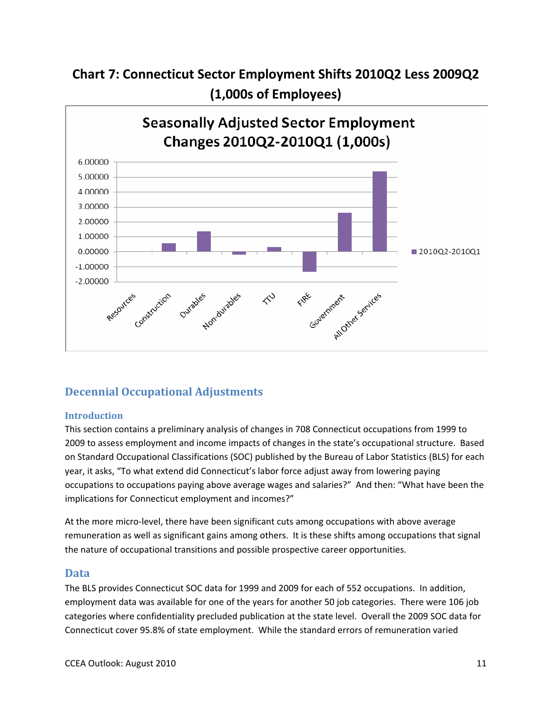![](_page_11_Figure_0.jpeg)

![](_page_11_Figure_1.jpeg)

#### **Decennial Occupational Adjustments**

#### **Introduction**

This section contains a preliminary analysis of changes in 708 Connecticut occupations from 1999 to 2009 to assess employment and income impacts of changes in the state's occupational structure. Based on Standard Occupational Classifications (SOC) published by the Bureau of Labor Statistics (BLS) for each year, it asks, "To what extend did Connecticut's labor force adjust away from lowering paying occupations to occupations paying above average wages and salaries?" And then: "What have been the implications for Connecticut employment and incomes?"

At the more micro‐level, there have been significant cuts among occupations with above average remuneration as well as significant gains among others. It is these shifts among occupations that signal the nature of occupational transitions and possible prospective career opportunities.

#### **Data**

The BLS provides Connecticut SOC data for 1999 and 2009 for each of 552 occupations. In addition, employment data was available for one of the years for another 50 job categories. There were 106 job categories where confidentiality precluded publication at the state level. Overall the 2009 SOC data for Connecticut cover 95.8% of state employment. While the standard errors of remuneration varied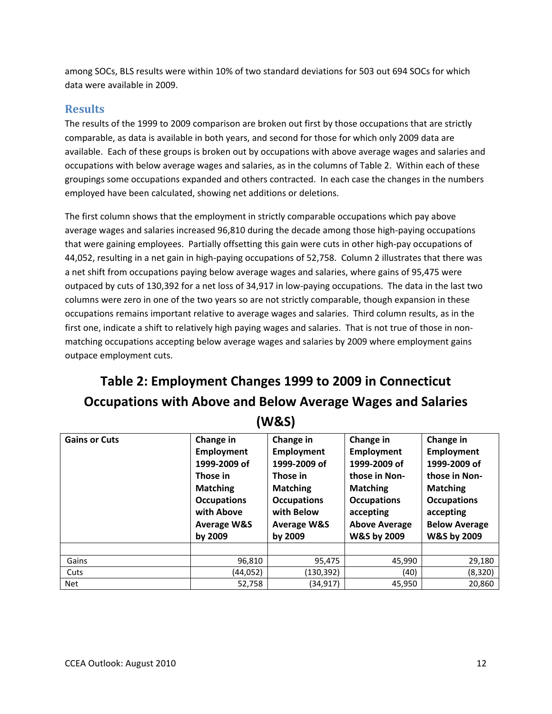among SOCs, BLS results were within 10% of two standard deviations for 503 out 694 SOCs for which data were available in 2009.

#### **Results**

The results of the 1999 to 2009 comparison are broken out first by those occupations that are strictly comparable, as data is available in both years, and second for those for which only 2009 data are available. Each of these groups is broken out by occupations with above average wages and salaries and occupations with below average wages and salaries, as in the columns of Table 2. Within each of these groupings some occupations expanded and others contracted. In each case the changes in the numbers employed have been calculated, showing net additions or deletions.

The first column shows that the employment in strictly comparable occupations which pay above average wages and salaries increased 96,810 during the decade among those high‐paying occupations that were gaining employees. Partially offsetting this gain were cuts in other high‐pay occupations of 44,052, resulting in a net gain in high-paying occupations of 52,758. Column 2 illustrates that there was a net shift from occupations paying below average wages and salaries, where gains of 95,475 were outpaced by cuts of 130,392 for a net loss of 34,917 in low‐paying occupations. The data in the last two columns were zero in one of the two years so are not strictly comparable, though expansion in these occupations remains important relative to average wages and salaries. Third column results, as in the first one, indicate a shift to relatively high paying wages and salaries. That is not true of those in nonmatching occupations accepting below average wages and salaries by 2009 where employment gains outpace employment cuts.

## **Table 2: Employment Changes 1999 to 2009 in Connecticut Occupations with Above and Below Average Wages and Salaries (W&S)**

| <b>Gains or Cuts</b> | Change in<br><b>Employment</b><br>1999-2009 of<br>Those in<br><b>Matching</b><br><b>Occupations</b><br>with Above | Change in<br><b>Employment</b><br>1999-2009 of<br>Those in<br><b>Matching</b><br><b>Occupations</b><br>with Below<br><b>Average W&amp;S</b> | Change in<br>Employment<br>1999-2009 of<br>those in Non-<br><b>Matching</b><br><b>Occupations</b><br>accepting<br><b>Above Average</b> | Change in<br><b>Employment</b><br>1999-2009 of<br>those in Non-<br><b>Matching</b><br><b>Occupations</b><br>accepting<br><b>Below Average</b> |
|----------------------|-------------------------------------------------------------------------------------------------------------------|---------------------------------------------------------------------------------------------------------------------------------------------|----------------------------------------------------------------------------------------------------------------------------------------|-----------------------------------------------------------------------------------------------------------------------------------------------|
|                      | <b>Average W&amp;S</b><br>by 2009                                                                                 | by 2009                                                                                                                                     | <b>W&amp;S by 2009</b>                                                                                                                 | W&S by 2009                                                                                                                                   |
|                      |                                                                                                                   |                                                                                                                                             |                                                                                                                                        |                                                                                                                                               |
| Gains                | 96,810                                                                                                            | 95,475                                                                                                                                      | 45,990                                                                                                                                 | 29,180                                                                                                                                        |
| Cuts                 | (44,052)                                                                                                          | (130,392)                                                                                                                                   | (40)                                                                                                                                   | (8, 320)                                                                                                                                      |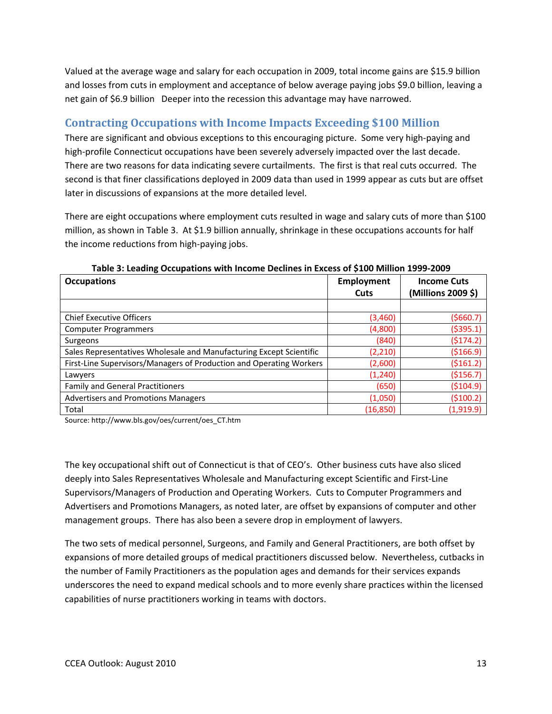Valued at the average wage and salary for each occupation in 2009, total income gains are \$15.9 billion and losses from cuts in employment and acceptance of below average paying jobs \$9.0 billion, leaving a net gain of \$6.9 billion Deeper into the recession this advantage may have narrowed.

## **Contracting Occupations with Income Impacts Exceeding \$100 Million**

There are significant and obvious exceptions to this encouraging picture. Some very high-paying and high-profile Connecticut occupations have been severely adversely impacted over the last decade. There are two reasons for data indicating severe curtailments. The first is that real cuts occurred. The second is that finer classifications deployed in 2009 data than used in 1999 appear as cuts but are offset later in discussions of expansions at the more detailed level.

There are eight occupations where employment cuts resulted in wage and salary cuts of more than \$100 million, as shown in Table 3. At \$1.9 billion annually, shrinkage in these occupations accounts for half the income reductions from high‐paying jobs.

| <b>Occupations</b>                                                  | Employment<br>Cuts | <b>Income Cuts</b><br>(Millions 2009 \$) |
|---------------------------------------------------------------------|--------------------|------------------------------------------|
|                                                                     |                    |                                          |
| <b>Chief Executive Officers</b>                                     | (3,460)            | ( \$660.7)                               |
| <b>Computer Programmers</b>                                         | (4,800)            | ( \$395.1)                               |
| Surgeons                                                            | (840)              | (5174.2)                                 |
| Sales Representatives Wholesale and Manufacturing Except Scientific | (2, 210)           | ( \$166.9)                               |
| First-Line Supervisors/Managers of Production and Operating Workers | (2,600)            | ( \$161.2)                               |
| Lawyers                                                             | (1, 240)           | ( \$156.7)                               |
| <b>Family and General Practitioners</b>                             | (650)              | ( \$104.9)                               |
| <b>Advertisers and Promotions Managers</b>                          | (1,050)            | ( \$100.2)                               |
| Total                                                               | (16, 850)          | (1,919.9)                                |

#### **Table 3: Leading Occupations with Income Declines in Excess of \$100 Million 1999‐2009**

Source: http://www.bls.gov/oes/current/oes\_CT.htm

The key occupational shift out of Connecticut is that of CEO's. Other business cuts have also sliced deeply into Sales Representatives Wholesale and Manufacturing except Scientific and First‐Line Supervisors/Managers of Production and Operating Workers. Cuts to Computer Programmers and Advertisers and Promotions Managers, as noted later, are offset by expansions of computer and other management groups. There has also been a severe drop in employment of lawyers.

The two sets of medical personnel, Surgeons, and Family and General Practitioners, are both offset by expansions of more detailed groups of medical practitioners discussed below. Nevertheless, cutbacks in the number of Family Practitioners as the population ages and demands for their services expands underscores the need to expand medical schools and to more evenly share practices within the licensed capabilities of nurse practitioners working in teams with doctors.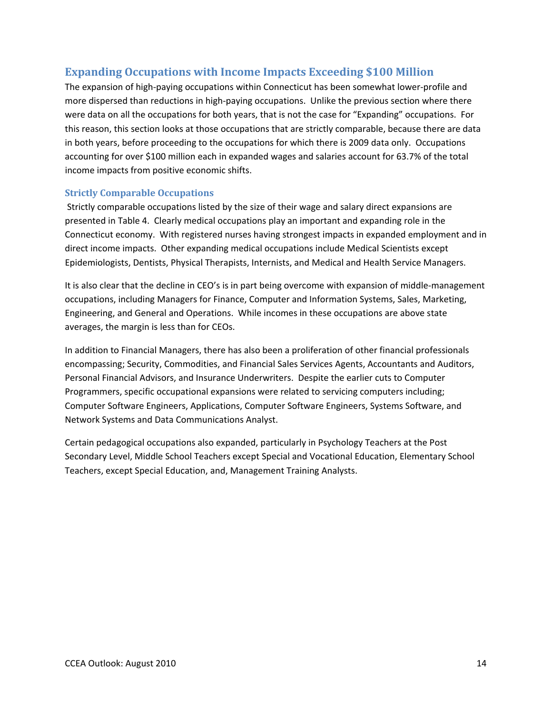### **Expanding Occupations with Income Impacts Exceeding \$100 Million**

The expansion of high‐paying occupations within Connecticut has been somewhat lower‐profile and more dispersed than reductions in high-paying occupations. Unlike the previous section where there were data on all the occupations for both years, that is not the case for "Expanding" occupations. For this reason, this section looks at those occupations that are strictly comparable, because there are data in both years, before proceeding to the occupations for which there is 2009 data only. Occupations accounting for over \$100 million each in expanded wages and salaries account for 63.7% of the total income impacts from positive economic shifts.

#### **Strictly Comparable Occupations**

Strictly comparable occupations listed by the size of their wage and salary direct expansions are presented in Table 4. Clearly medical occupations play an important and expanding role in the Connecticut economy. With registered nurses having strongest impacts in expanded employment and in direct income impacts. Other expanding medical occupations include Medical Scientists except Epidemiologists, Dentists, Physical Therapists, Internists, and Medical and Health Service Managers.

It is also clear that the decline in CEO's is in part being overcome with expansion of middle‐management occupations, including Managers for Finance, Computer and Information Systems, Sales, Marketing, Engineering, and General and Operations. While incomes in these occupations are above state averages, the margin is less than for CEOs.

In addition to Financial Managers, there has also been a proliferation of other financial professionals encompassing; Security, Commodities, and Financial Sales Services Agents, Accountants and Auditors, Personal Financial Advisors, and Insurance Underwriters. Despite the earlier cuts to Computer Programmers, specific occupational expansions were related to servicing computers including; Computer Software Engineers, Applications, Computer Software Engineers, Systems Software, and Network Systems and Data Communications Analyst.

Certain pedagogical occupations also expanded, particularly in Psychology Teachers at the Post Secondary Level, Middle School Teachers except Special and Vocational Education, Elementary School Teachers, except Special Education, and, Management Training Analysts.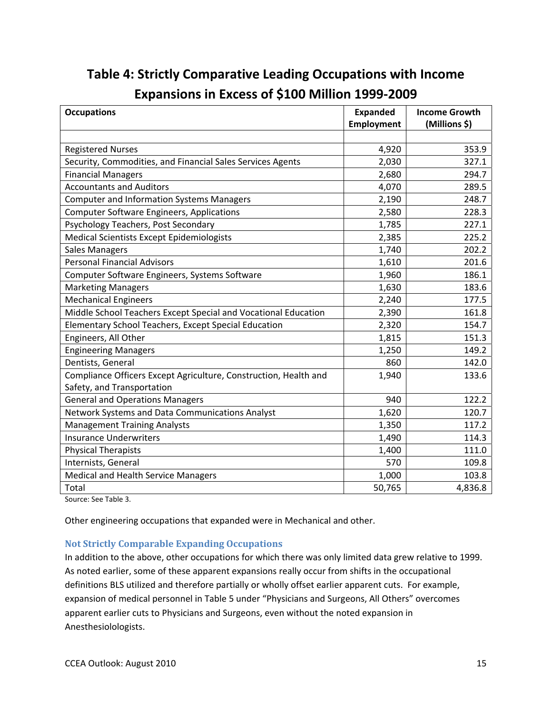| <b>Occupations</b>                                               | <b>Expanded</b>   | <b>Income Growth</b> |
|------------------------------------------------------------------|-------------------|----------------------|
|                                                                  | <b>Employment</b> | (Millions \$)        |
|                                                                  |                   |                      |
| <b>Registered Nurses</b>                                         | 4,920             | 353.9                |
| Security, Commodities, and Financial Sales Services Agents       | 2,030             | 327.1                |
| <b>Financial Managers</b>                                        | 2,680             | 294.7                |
| <b>Accountants and Auditors</b>                                  | 4,070             | 289.5                |
| <b>Computer and Information Systems Managers</b>                 | 2,190             | 248.7                |
| <b>Computer Software Engineers, Applications</b>                 | 2,580             | 228.3                |
| Psychology Teachers, Post Secondary                              | 1,785             | 227.1                |
| Medical Scientists Except Epidemiologists                        | 2,385             | 225.2                |
| <b>Sales Managers</b>                                            | 1,740             | 202.2                |
| <b>Personal Financial Advisors</b>                               | 1,610             | 201.6                |
| Computer Software Engineers, Systems Software                    | 1,960             | 186.1                |
| <b>Marketing Managers</b>                                        | 1,630             | 183.6                |
| <b>Mechanical Engineers</b>                                      | 2,240             | 177.5                |
| Middle School Teachers Except Special and Vocational Education   | 2,390             | 161.8                |
| Elementary School Teachers, Except Special Education             | 2,320             | 154.7                |
| Engineers, All Other                                             | 1,815             | 151.3                |
| <b>Engineering Managers</b>                                      | 1,250             | 149.2                |
| Dentists, General                                                | 860               | 142.0                |
| Compliance Officers Except Agriculture, Construction, Health and | 1,940             | 133.6                |
| Safety, and Transportation                                       |                   |                      |
| <b>General and Operations Managers</b>                           | 940               | 122.2                |
| Network Systems and Data Communications Analyst                  | 1,620             | 120.7                |
| <b>Management Training Analysts</b>                              | 1,350             | 117.2                |
| <b>Insurance Underwriters</b>                                    | 1,490             | 114.3                |
| <b>Physical Therapists</b>                                       | 1,400             | 111.0                |
| Internists, General                                              | 570               | 109.8                |
| <b>Medical and Health Service Managers</b>                       | 1,000             | 103.8                |
| Total                                                            | 50,765            | 4,836.8              |

# **Table 4: Strictly Comparative Leading Occupations with Income Expansions in Excess of \$100 Million 1999‐2009**

Source: See Table 3.

Other engineering occupations that expanded were in Mechanical and other.

#### **Not Strictly Comparable Expanding Occupations**

In addition to the above, other occupations for which there was only limited data grew relative to 1999. As noted earlier, some of these apparent expansions really occur from shifts in the occupational definitions BLS utilized and therefore partially or wholly offset earlier apparent cuts. For example, expansion of medical personnel in Table 5 under "Physicians and Surgeons, All Others" overcomes apparent earlier cuts to Physicians and Surgeons, even without the noted expansion in Anesthesiolologists.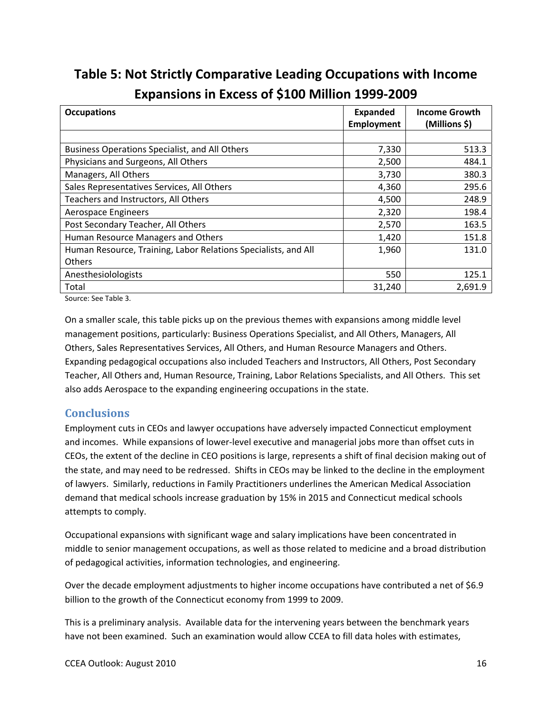# **Table 5: Not Strictly Comparative Leading Occupations with Income Expansions in Excess of \$100 Million 1999‐2009**

| <b>Occupations</b>                                             | <b>Expanded</b> | <b>Income Growth</b> |
|----------------------------------------------------------------|-----------------|----------------------|
|                                                                | Employment      | (Millions \$)        |
|                                                                |                 |                      |
| <b>Business Operations Specialist, and All Others</b>          | 7,330           | 513.3                |
| Physicians and Surgeons, All Others                            | 2,500           | 484.1                |
| Managers, All Others                                           | 3,730           | 380.3                |
| Sales Representatives Services, All Others                     | 4,360           | 295.6                |
| Teachers and Instructors, All Others                           | 4,500           | 248.9                |
| Aerospace Engineers                                            | 2,320           | 198.4                |
| Post Secondary Teacher, All Others                             | 2,570           | 163.5                |
| Human Resource Managers and Others                             | 1,420           | 151.8                |
| Human Resource, Training, Labor Relations Specialists, and All | 1,960           | 131.0                |
| <b>Others</b>                                                  |                 |                      |
| Anesthesiolologists                                            | 550             | 125.1                |
| Total                                                          | 31,240          | 2,691.9              |

Source: See Table 3.

On a smaller scale, this table picks up on the previous themes with expansions among middle level management positions, particularly: Business Operations Specialist, and All Others, Managers, All Others, Sales Representatives Services, All Others, and Human Resource Managers and Others. Expanding pedagogical occupations also included Teachers and Instructors, All Others, Post Secondary Teacher, All Others and, Human Resource, Training, Labor Relations Specialists, and All Others. This set also adds Aerospace to the expanding engineering occupations in the state.

#### **Conclusions**

Employment cuts in CEOs and lawyer occupations have adversely impacted Connecticut employment and incomes. While expansions of lower‐level executive and managerial jobs more than offset cuts in CEOs, the extent of the decline in CEO positions is large, represents a shift of final decision making out of the state, and may need to be redressed. Shifts in CEOs may be linked to the decline in the employment of lawyers. Similarly, reductions in Family Practitioners underlines the American Medical Association demand that medical schools increase graduation by 15% in 2015 and Connecticut medical schools attempts to comply.

Occupational expansions with significant wage and salary implications have been concentrated in middle to senior management occupations, as well as those related to medicine and a broad distribution of pedagogical activities, information technologies, and engineering.

Over the decade employment adjustments to higher income occupations have contributed a net of \$6.9 billion to the growth of the Connecticut economy from 1999 to 2009.

This is a preliminary analysis. Available data for the intervening years between the benchmark years have not been examined. Such an examination would allow CCEA to fill data holes with estimates,